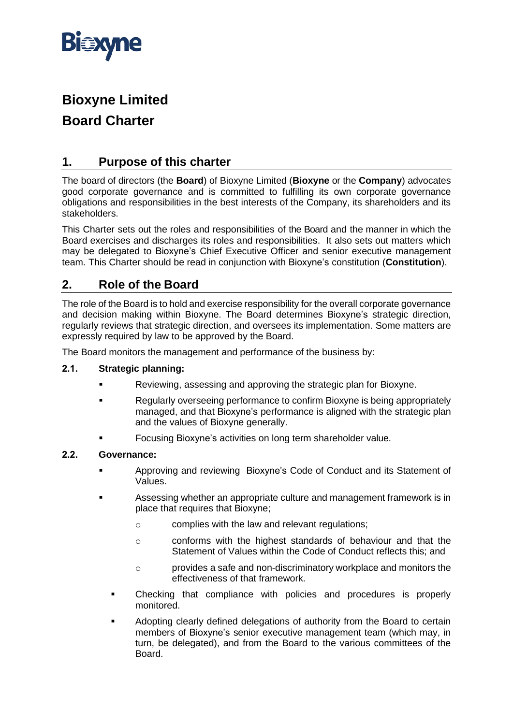

# **Bioxyne Limited Board Charter**

# **1. Purpose of this charter**

The board of directors (the **Board**) of Bioxyne Limited (**Bioxyne** or the **Company**) advocates good corporate governance and is committed to fulfilling its own corporate governance obligations and responsibilities in the best interests of the Company, its shareholders and its stakeholders.

This Charter sets out the roles and responsibilities of the Board and the manner in which the Board exercises and discharges its roles and responsibilities. It also sets out matters which may be delegated to Bioxyne's Chief Executive Officer and senior executive management team. This Charter should be read in conjunction with Bioxyne's constitution (**Constitution**).

# <span id="page-0-0"></span>**2. Role of the Board**

The role of the Board is to hold and exercise responsibility for the overall corporate governance and decision making within Bioxyne. The Board determines Bioxyne's strategic direction, regularly reviews that strategic direction, and oversees its implementation. Some matters are expressly required by law to be approved by the Board.

The Board monitors the management and performance of the business by:

#### **2.1. Strategic planning:**

- Reviewing, assessing and approving the strategic plan for Bioxyne.
- **EXECUTER:** Regularly overseeing performance to confirm Bioxyne is being appropriately managed, and that Bioxyne's performance is aligned with the strategic plan and the values of Bioxyne generally.
- Focusing Bioxyne's activities on long term shareholder value.

#### **2.2. Governance:**

- Approving and reviewing Bioxyne's Code of Conduct and its Statement of Values.
- Assessing whether an appropriate culture and management framework is in place that requires that Bioxyne;
	- o complies with the law and relevant regulations;
	- o conforms with the highest standards of behaviour and that the Statement of Values within the Code of Conduct reflects this; and
	- o provides a safe and non-discriminatory workplace and monitors the effectiveness of that framework.
	- Checking that compliance with policies and procedures is properly monitored.
	- Adopting clearly defined delegations of authority from the Board to certain members of Bioxyne's senior executive management team (which may, in turn, be delegated), and from the Board to the various committees of the Board.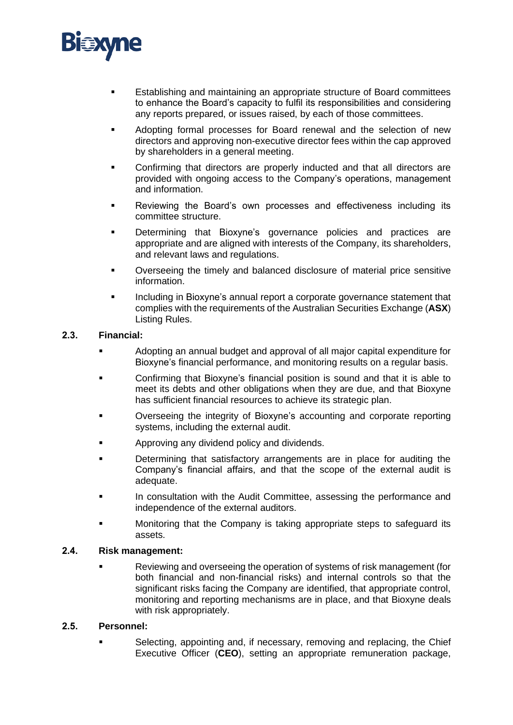

- Establishing and maintaining an appropriate structure of Board committees to enhance the Board's capacity to fulfil its responsibilities and considering any reports prepared, or issues raised, by each of those committees.
- Adopting formal processes for Board renewal and the selection of new directors and approving non-executive director fees within the cap approved by shareholders in a general meeting.
- Confirming that directors are properly inducted and that all directors are provided with ongoing access to the Company's operations, management and information.
- Reviewing the Board's own processes and effectiveness including its committee structure.
- Determining that Bioxyne's governance policies and practices are appropriate and are aligned with interests of the Company, its shareholders, and relevant laws and regulations.
- Overseeing the timely and balanced disclosure of material price sensitive information.
- Including in Bioxyne's annual report a corporate governance statement that complies with the requirements of the Australian Securities Exchange (**ASX**) Listing Rules.

#### **2.3. Financial:**

- Adopting an annual budget and approval of all major capital expenditure for Bioxyne's financial performance, and monitoring results on a regular basis.
- Confirming that Bioxyne's financial position is sound and that it is able to meet its debts and other obligations when they are due, and that Bioxyne has sufficient financial resources to achieve its strategic plan.
- Overseeing the integrity of Bioxyne's accounting and corporate reporting systems, including the external audit.
- Approving any dividend policy and dividends.
- Determining that satisfactory arrangements are in place for auditing the Company's financial affairs, and that the scope of the external audit is adequate.
- **In consultation with the Audit Committee, assessing the performance and** independence of the external auditors.
- Monitoring that the Company is taking appropriate steps to safeguard its assets.

#### **2.4. Risk management:**

Reviewing and overseeing the operation of systems of risk management (for both financial and non-financial risks) and internal controls so that the significant risks facing the Company are identified, that appropriate control, monitoring and reporting mechanisms are in place, and that Bioxyne deals with risk appropriately.

#### **2.5. Personnel:**

▪ Selecting, appointing and, if necessary, removing and replacing, the Chief Executive Officer (**CEO**), setting an appropriate remuneration package,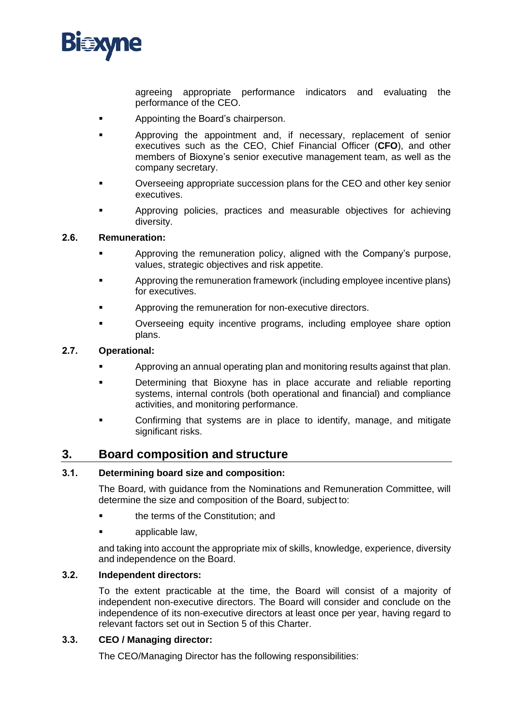

agreeing appropriate performance indicators and evaluating the performance of the CEO.

- **■** Appointing the Board's chairperson.
- **EXEC** Approving the appointment and, if necessary, replacement of senior executives such as the CEO, Chief Financial Officer (**CFO**), and other members of Bioxyne's senior executive management team, as well as the company secretary.
- Overseeing appropriate succession plans for the CEO and other key senior executives.
- Approving policies, practices and measurable objectives for achieving diversity.

#### **2.6. Remuneration:**

- Approving the remuneration policy, aligned with the Company's purpose, values, strategic objectives and risk appetite.
- Approving the remuneration framework (including employee incentive plans) for executives.
- **EXECUTE:** Approving the remuneration for non-executive directors.
- Overseeing equity incentive programs, including employee share option plans.

#### **2.7. Operational:**

- Approving an annual operating plan and monitoring results against that plan.
- Determining that Bioxyne has in place accurate and reliable reporting systems, internal controls (both operational and financial) and compliance activities, and monitoring performance.
- Confirming that systems are in place to identify, manage, and mitigate significant risks.

### **3. Board composition and structure**

#### **3.1. Determining board size and composition:**

The Board, with guidance from the Nominations and Remuneration Committee, will determine the size and composition of the Board, subject to:

- the terms of the Constitution; and
- applicable law.

and taking into account the appropriate mix of skills, knowledge, experience, diversity and independence on the Board.

#### **3.2. Independent directors:**

To the extent practicable at the time, the Board will consist of a majority of independent non-executive directors. The Board will consider and conclude on the independence of its non-executive directors at least once per year, having regard to relevant factors set out in Section 5 of this Charter.

#### **3.3. CEO / Managing director:**

The CEO/Managing Director has the following responsibilities: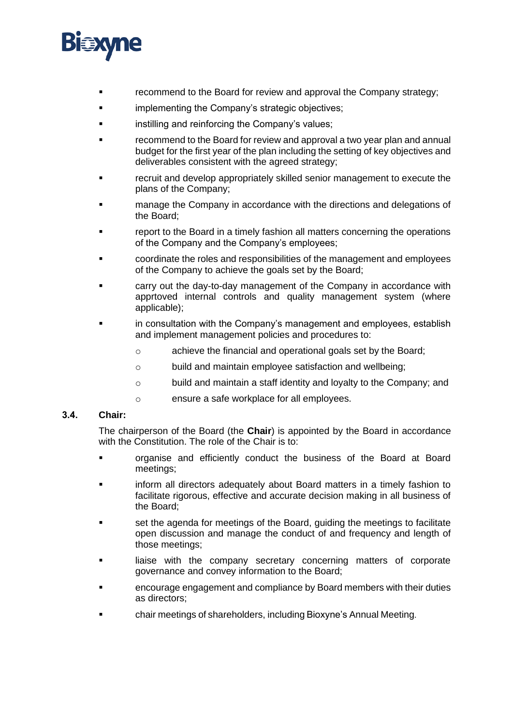

- recommend to the Board for review and approval the Company strategy;
- implementing the Company's strategic objectives;
- instilling and reinforcing the Company's values;
- recommend to the Board for review and approval a two year plan and annual budget for the first year of the plan including the setting of key objectives and deliverables consistent with the agreed strategy;
- recruit and develop appropriately skilled senior management to execute the plans of the Company;
- **The manage the Company in accordance with the directions and delegations of** the Board;
- **•** report to the Board in a timely fashion all matters concerning the operations of the Company and the Company's employees;
- coordinate the roles and responsibilities of the management and employees of the Company to achieve the goals set by the Board;
- carry out the day-to-day management of the Company in accordance with apprtoved internal controls and quality management system (where applicable);
- in consultation with the Company's management and employees, establish and implement management policies and procedures to:
	- o achieve the financial and operational goals set by the Board;
	- o build and maintain employee satisfaction and wellbeing;
	- o build and maintain a staff identity and loyalty to the Company; and
	- o ensure a safe workplace for all employees.

#### **3.4. Chair:**

The chairperson of the Board (the **Chair**) is appointed by the Board in accordance with the Constitution. The role of the Chair is to:

- organise and efficiently conduct the business of the Board at Board meetings;
- inform all directors adequately about Board matters in a timely fashion to facilitate rigorous, effective and accurate decision making in all business of the Board;
- Set the agenda for meetings of the Board, guiding the meetings to facilitate open discussion and manage the conduct of and frequency and length of those meetings;
- **■** liaise with the company secretary concerning matters of corporate governance and convey information to the Board;
- encourage engagement and compliance by Board members with their duties as directors;
- chair meetings of shareholders, including Bioxyne's Annual Meeting.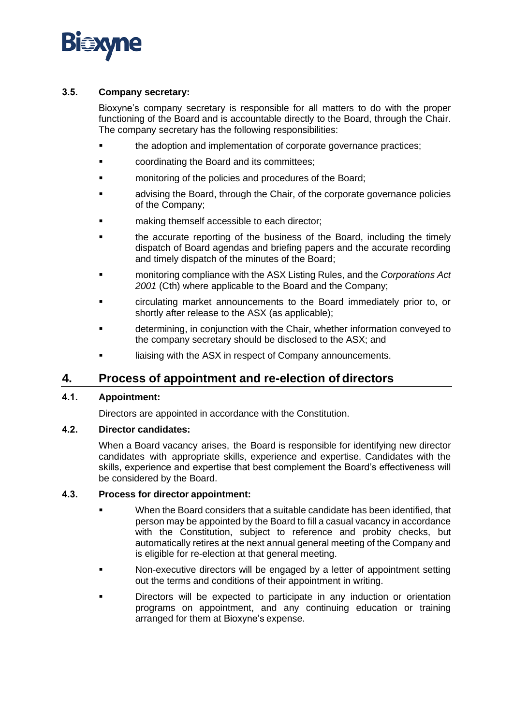

#### **3.5. Company secretary:**

Bioxyne's company secretary is responsible for all matters to do with the proper functioning of the Board and is accountable directly to the Board, through the Chair. The company secretary has the following responsibilities:

- the adoption and implementation of corporate governance practices;
- coordinating the Board and its committees;
- **The monitoring of the policies and procedures of the Board;**
- **■** advising the Board, through the Chair, of the corporate governance policies of the Company;
- making themself accessible to each director;
- the accurate reporting of the business of the Board, including the timely dispatch of Board agendas and briefing papers and the accurate recording and timely dispatch of the minutes of the Board;
- monitoring compliance with the ASX Listing Rules, and the *Corporations Act 2001* (Cth) where applicable to the Board and the Company;
- circulating market announcements to the Board immediately prior to, or shortly after release to the ASX (as applicable);
- determining, in conjunction with the Chair, whether information conveyed to the company secretary should be disclosed to the ASX; and
- liaising with the ASX in respect of Company announcements.

### **4. Process of appointment and re-election of directors**

#### **4.1. Appointment:**

Directors are appointed in accordance with the Constitution.

#### **4.2. Director candidates:**

When a Board vacancy arises, the Board is responsible for identifying new director candidates with appropriate skills, experience and expertise. Candidates with the skills, experience and expertise that best complement the Board's effectiveness will be considered by the Board.

#### **4.3. Process for director appointment:**

- When the Board considers that a suitable candidate has been identified, that person may be appointed by the Board to fill a casual vacancy in accordance with the Constitution, subject to reference and probity checks, but automatically retires at the next annual general meeting of the Company and is eligible for re-election at that general meeting.
- Non-executive directors will be engaged by a letter of appointment setting out the terms and conditions of their appointment in writing.
- Directors will be expected to participate in any induction or orientation programs on appointment, and any continuing education or training arranged for them at Bioxyne's expense.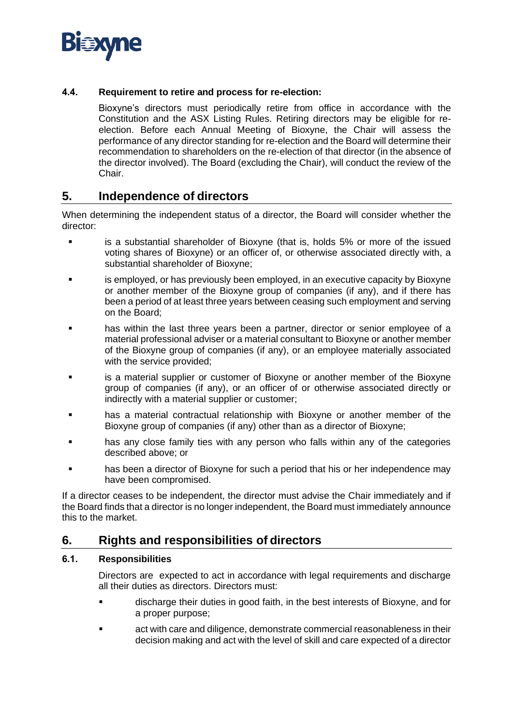

#### **4.4. Requirement to retire and process for re-election:**

Bioxyne's directors must periodically retire from office in accordance with the Constitution and the ASX Listing Rules. Retiring directors may be eligible for reelection. Before each Annual Meeting of Bioxyne, the Chair will assess the performance of any director standing for re-election and the Board will determine their recommendation to shareholders on the re-election of that director (in the absence of the director involved). The Board (excluding the Chair), will conduct the review of the Chair.

### **5. Independence of directors**

When determining the independent status of a director, the Board will consider whether the director:

- is a substantial shareholder of Bioxyne (that is, holds 5% or more of the issued voting shares of Bioxyne) or an officer of, or otherwise associated directly with, a substantial shareholder of Bioxyne;
- is employed, or has previously been employed, in an executive capacity by Bioxyne or another member of the Bioxyne group of companies (if any), and if there has been a period of at least three years between ceasing such employment and serving on the Board;
- has within the last three years been a partner, director or senior employee of a material professional adviser or a material consultant to Bioxyne or another member of the Bioxyne group of companies (if any), or an employee materially associated with the service provided;
- is a material supplier or customer of Bioxyne or another member of the Bioxyne group of companies (if any), or an officer of or otherwise associated directly or indirectly with a material supplier or customer;
- has a material contractual relationship with Bioxyne or another member of the Bioxyne group of companies (if any) other than as a director of Bioxyne;
- has any close family ties with any person who falls within any of the categories described above; or
- has been a director of Bioxyne for such a period that his or her independence may have been compromised.

If a director ceases to be independent, the director must advise the Chair immediately and if the Board finds that a director is no longer independent, the Board must immediately announce this to the market.

### **6. Rights and responsibilities of directors**

#### **6.1. Responsibilities**

Directors are expected to act in accordance with legal requirements and discharge all their duties as directors. Directors must:

- discharge their duties in good faith, in the best interests of Bioxyne, and for a proper purpose;
- act with care and diligence, demonstrate commercial reasonableness in their decision making and act with the level of skill and care expected of a director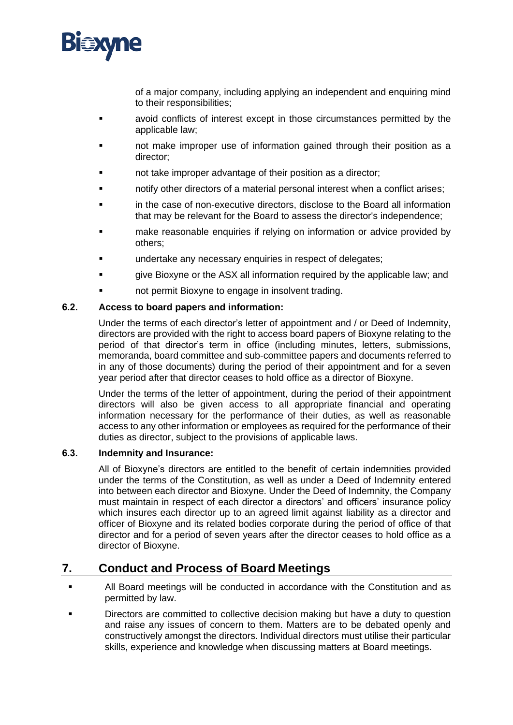

of a major company, including applying an independent and enquiring mind to their responsibilities;

- avoid conflicts of interest except in those circumstances permitted by the applicable law;
- not make improper use of information gained through their position as a director;
- not take improper advantage of their position as a director;
- notify other directors of a material personal interest when a conflict arises;
- in the case of non-executive directors, disclose to the Board all information that may be relevant for the Board to assess the director's independence;
- **■** make reasonable enquiries if relying on information or advice provided by others;
- undertake any necessary enquiries in respect of delegates;
- give Bioxyne or the ASX all information required by the applicable law; and
- not permit Bioxyne to engage in insolvent trading.

#### **6.2. Access to board papers and information:**

Under the terms of each director's letter of appointment and / or Deed of Indemnity, directors are provided with the right to access board papers of Bioxyne relating to the period of that director's term in office (including minutes, letters, submissions, memoranda, board committee and sub-committee papers and documents referred to in any of those documents) during the period of their appointment and for a seven year period after that director ceases to hold office as a director of Bioxyne.

Under the terms of the letter of appointment, during the period of their appointment directors will also be given access to all appropriate financial and operating information necessary for the performance of their duties, as well as reasonable access to any other information or employees as required for the performance of their duties as director, subject to the provisions of applicable laws.

#### **6.3. Indemnity and Insurance:**

All of Bioxyne's directors are entitled to the benefit of certain indemnities provided under the terms of the Constitution, as well as under a Deed of Indemnity entered into between each director and Bioxyne. Under the Deed of Indemnity, the Company must maintain in respect of each director a directors' and officers' insurance policy which insures each director up to an agreed limit against liability as a director and officer of Bioxyne and its related bodies corporate during the period of office of that director and for a period of seven years after the director ceases to hold office as a director of Bioxyne.

# **7. Conduct and Process of Board Meetings**

- All Board meetings will be conducted in accordance with the Constitution and as permitted by law.
- Directors are committed to collective decision making but have a duty to question and raise any issues of concern to them. Matters are to be debated openly and constructively amongst the directors. Individual directors must utilise their particular skills, experience and knowledge when discussing matters at Board meetings.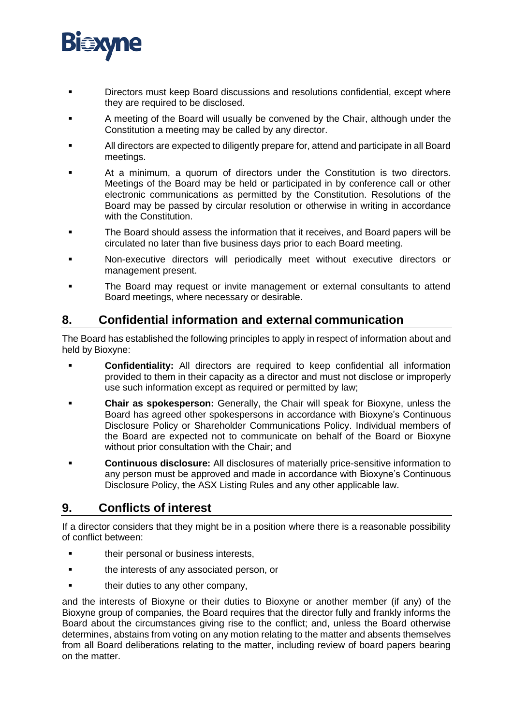

- Directors must keep Board discussions and resolutions confidential, except where they are required to be disclosed.
- A meeting of the Board will usually be convened by the Chair, although under the Constitution a meeting may be called by any director.
- All directors are expected to diligently prepare for, attend and participate in all Board meetings.
- At a minimum, a quorum of directors under the Constitution is two directors. Meetings of the Board may be held or participated in by conference call or other electronic communications as permitted by the Constitution. Resolutions of the Board may be passed by circular resolution or otherwise in writing in accordance with the Constitution.
- The Board should assess the information that it receives, and Board papers will be circulated no later than five business days prior to each Board meeting.
- Non-executive directors will periodically meet without executive directors or management present.
- **•** The Board may request or invite management or external consultants to attend Board meetings, where necessary or desirable.

## **8. Confidential information and external communication**

The Board has established the following principles to apply in respect of information about and held by Bioxyne:

- **Confidentiality:** All directors are required to keep confidential all information provided to them in their capacity as a director and must not disclose or improperly use such information except as required or permitted by law;
- **Chair as spokesperson:** Generally, the Chair will speak for Bioxyne, unless the Board has agreed other spokespersons in accordance with Bioxyne's Continuous Disclosure Policy or Shareholder Communications Policy. Individual members of the Board are expected not to communicate on behalf of the Board or Bioxyne without prior consultation with the Chair; and
- **Continuous disclosure:** All disclosures of materially price-sensitive information to any person must be approved and made in accordance with Bioxyne's Continuous Disclosure Policy, the ASX Listing Rules and any other applicable law.

# **9. Conflicts of interest**

If a director considers that they might be in a position where there is a reasonable possibility of conflict between:

- their personal or business interests,
- the interests of any associated person, or
- **■** their duties to any other company,

and the interests of Bioxyne or their duties to Bioxyne or another member (if any) of the Bioxyne group of companies, the Board requires that the director fully and frankly informs the Board about the circumstances giving rise to the conflict; and, unless the Board otherwise determines, abstains from voting on any motion relating to the matter and absents themselves from all Board deliberations relating to the matter, including review of board papers bearing on the matter.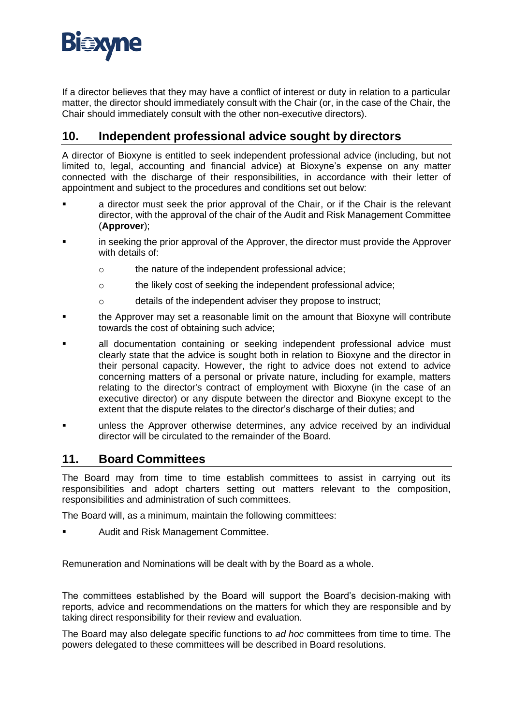

If a director believes that they may have a conflict of interest or duty in relation to a particular matter, the director should immediately consult with the Chair (or, in the case of the Chair, the Chair should immediately consult with the other non-executive directors).

# **10. Independent professional advice sought by directors**

A director of Bioxyne is entitled to seek independent professional advice (including, but not limited to, legal, accounting and financial advice) at Bioxyne's expense on any matter connected with the discharge of their responsibilities, in accordance with their letter of appointment and subject to the procedures and conditions set out below:

- a director must seek the prior approval of the Chair, or if the Chair is the relevant director, with the approval of the chair of the Audit and Risk Management Committee (**Approver**);
- in seeking the prior approval of the Approver, the director must provide the Approver with details of:
	- o the nature of the independent professional advice;
	- o the likely cost of seeking the independent professional advice;
	- o details of the independent adviser they propose to instruct;
- the Approver may set a reasonable limit on the amount that Bioxyne will contribute towards the cost of obtaining such advice;
- all documentation containing or seeking independent professional advice must clearly state that the advice is sought both in relation to Bioxyne and the director in their personal capacity. However, the right to advice does not extend to advice concerning matters of a personal or private nature, including for example, matters relating to the director's contract of employment with Bioxyne (in the case of an executive director) or any dispute between the director and Bioxyne except to the extent that the dispute relates to the director's discharge of their duties; and
- unless the Approver otherwise determines, any advice received by an individual director will be circulated to the remainder of the Board.

### <span id="page-8-0"></span>**11. Board Committees**

The Board may from time to time establish committees to assist in carrying out its responsibilities and adopt charters setting out matters relevant to the composition, responsibilities and administration of such committees.

The Board will, as a minimum, maintain the following committees:

Audit and Risk Management Committee.

Remuneration and Nominations will be dealt with by the Board as a whole.

The committees established by the Board will support the Board's decision-making with reports, advice and recommendations on the matters for which they are responsible and by taking direct responsibility for their review and evaluation.

The Board may also delegate specific functions to *ad hoc* committees from time to time. The powers delegated to these committees will be described in Board resolutions.